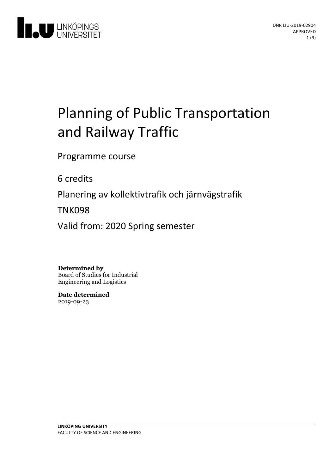

# Planning of Public Transportation and Railway Traffic

Programme course

6 credits

Planeringav kollektivtrafik och järnvägstrafik

TNK098

Valid from: 2020 Spring semester

**Determined by**

Board of Studies for Industrial Engineering and Logistics

**Date determined** 2019-09-23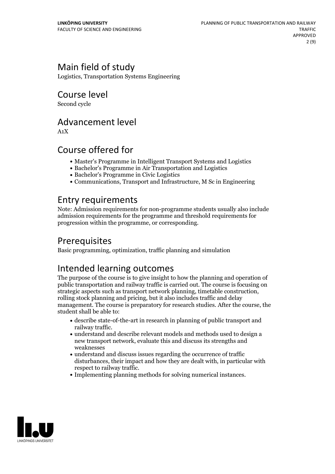# Main field of study

Logistics, Transportation Systems Engineering

Course level

Second cycle

### Advancement level

A1X

### Course offered for

- Master's Programme in Intelligent Transport Systems and Logistics
- Bachelor's Programme in Air Transportation and Logistics
- Bachelor's Programme in Civic Logistics
- Communications, Transport and Infrastructure, M Sc in Engineering

### Entry requirements

Note: Admission requirements for non-programme students usually also include admission requirements for the programme and threshold requirements for progression within the programme, or corresponding.

# Prerequisites

Basic programming, optimization, traffic planning and simulation

# Intended learning outcomes

The purpose of the course is to give insight to how the planning and operation of public transportation and railway traffic is carried out. The course is focusing on strategic aspects such as transport network planning, timetable construction, rolling stock planning and pricing, but it also includes traffic and delay management. The course is preparatory for research studies. After the course, the student shall be able to:

- describe state-of-the-art in research in planning of public transport and railway traffic.<br>• understand and describe relevant models and methods used to design a
- new transport network, evaluate this and discuss its strengths and weaknesses
- $\bullet$  understand and discuss issues regarding the occurrence of traffic disturbances, their impact and how they are dealt with, in particular with respect to railway traffic.<br>• Implementing planning methods for solving numerical instances.
- 

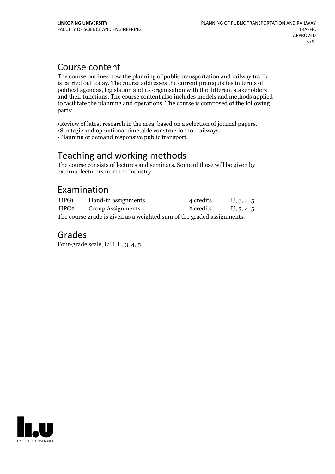### Course content

The course outlines how the planning of public transportation and railway traffic is carried out today. The course addresses the current prerequisites in terms of political agendas, legislation and its organisation with the different stakeholders and their functions. The course content also includes models and methods applied to facilitate the planning and operations. The course is composed of the following parts:

•Review of latest research in the area, based on <sup>a</sup> selection of journal papers. •Strategic and operational timetable construction for railways

•Planning of demand responsive public transport.

# Teaching and working methods

The course consists of lectures and seminars. Some of these will be given by external lecturers from the industry.

### Examination

| UPG1                                                                   | Hand-in assignments      | 4 credits | U, 3, 4, 5 |
|------------------------------------------------------------------------|--------------------------|-----------|------------|
| UPG2                                                                   | <b>Group Assignments</b> | 2 credits | U, 3, 4, 5 |
| The course grade is given as a weighted sum of the graded assignments. |                          |           |            |

### Grades

Four-grade scale, LiU, U, 3, 4, 5

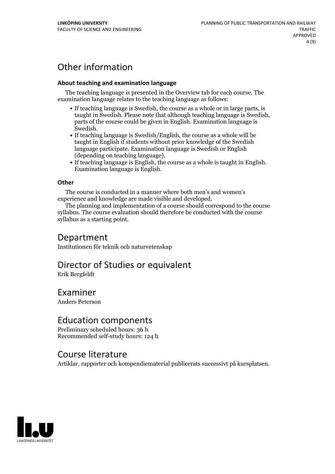# Other information

#### **About teaching and examination language**

The teaching language is presented in the Overview tab for each course. The examination language relates to the teaching language as follows:

- If teaching language is Swedish, the course as a whole or in large parts, is taught in Swedish. Please note that although teaching language is Swedish, parts of the course could be given in English. Examination language is
- Swedish.<br>• If teaching language is Swedish/English, the course as a whole will be taught in English if students without prior knowledge of the Swedish language participate. Examination language is Swedish or English
- (depending on teaching language).<br>
 If teaching language is English, the course as a whole is taught in English.<br>
Examination language is English.

#### **Other**

The course is conducted in a manner where both men's and women's

experience and knowledge are made visible and developed. The planning and implementation of <sup>a</sup> course should correspond to the course syllabus. The course evaluation should therefore be conducted with the course syllabus as a starting point.

### Department

Institutionen för teknik och naturvetenskap

# Director of Studies or equivalent

Erik Bergfeldt

# Examiner

Anders Peterson

### Education components

Preliminary scheduled hours: 36 h Recommended self-study hours: 124 h

### Course literature

Artiklar, rapporter och kompendiematerial publicerats successivt på kursplatsen.

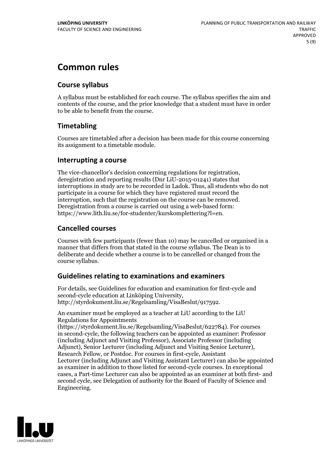# **Common rules**

#### **Course syllabus**

A syllabus must be established for each course. The syllabus specifies the aim and contents of the course, and the prior knowledge that a student must have in order to be able to benefit from the course.

#### **Timetabling**

Courses are timetabled after a decision has been made for this course concerning its assignment to a timetable module.

#### **Interrupting a course**

The vice-chancellor's decision concerning regulations for registration, deregistration and reporting results (Dnr LiU-2015-01241) states that interruptions in study are to be recorded in Ladok. Thus, all students who do not participate in a course for which they have registered must record the interruption, such that the registration on the course can be removed. Deregistration from <sup>a</sup> course is carried outusing <sup>a</sup> web-based form: https://www.lith.liu.se/for-studenter/kurskomplettering?l=en.

#### **Cancelled courses**

Courses with few participants (fewer than 10) may be cancelled or organised in a manner that differs from that stated in the course syllabus. The Dean is to deliberate and decide whether a course is to be cancelled or changed from the course syllabus.

#### **Guidelines relatingto examinations and examiners**

For details, see Guidelines for education and examination for first-cycle and second-cycle education at Linköping University, http://styrdokument.liu.se/Regelsamling/VisaBeslut/917592.

An examiner must be employed as a teacher at LiU according to the LiU Regulations for Appointments

(https://styrdokument.liu.se/Regelsamling/VisaBeslut/622784). For courses in second-cycle, the following teachers can be appointed as examiner: Professor (including Adjunct and Visiting Professor), Associate Professor (including Adjunct), Senior Lecturer (including Adjunct and Visiting Senior Lecturer), Research Fellow, or Postdoc. For courses in first-cycle, Assistant Lecturer (including Adjunct and Visiting Assistant Lecturer) can also be appointed as examiner in addition to those listed for second-cycle courses. In exceptional cases, a Part-time Lecturer can also be appointed as an examiner at both first- and second cycle, see Delegation of authority for the Board of Faculty of Science and Engineering.

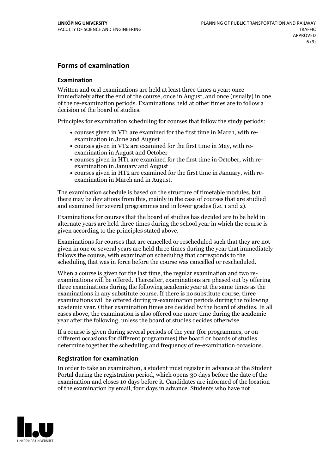#### **Forms of examination**

#### **Examination**

Written and oral examinations are held at least three times a year: once immediately after the end of the course, once in August, and once (usually) in one of the re-examination periods. Examinations held at other times are to follow a decision of the board of studies.

Principles for examination scheduling for courses that follow the study periods:

- courses given in VT1 are examined for the first time in March, with re-examination in June and August
- courses given in VT2 are examined for the first time in May, with re-examination in August and October
- courses given in HT1 are examined for the first time in October, with re-examination in January and August
- courses given in HT2 are examined for the first time in January, with re-examination in March and in August.

The examination schedule is based on the structure of timetable modules, but there may be deviations from this, mainly in the case of courses that are studied and examined for several programmes and in lower grades (i.e. 1 and 2).

Examinations for courses that the board of studies has decided are to be held in alternate years are held three times during the school year in which the course is given according to the principles stated above.

Examinations for courses that are cancelled orrescheduled such that they are not given in one or several years are held three times during the year that immediately follows the course, with examination scheduling that corresponds to the scheduling that was in force before the course was cancelled or rescheduled.

When a course is given for the last time, the regular examination and two re-<br>examinations will be offered. Thereafter, examinations are phased out by offering three examinations during the following academic year at the same times as the examinations in any substitute course. If there is no substitute course, three examinations will be offered during re-examination periods during the following academic year. Other examination times are decided by the board of studies. In all cases above, the examination is also offered one more time during the academic year after the following, unless the board of studies decides otherwise.

If a course is given during several periods of the year (for programmes, or on different occasions for different programmes) the board or boards of studies determine together the scheduling and frequency of re-examination occasions.

#### **Registration for examination**

In order to take an examination, a student must register in advance at the Student Portal during the registration period, which opens 30 days before the date of the examination and closes 10 days before it. Candidates are informed of the location of the examination by email, four days in advance. Students who have not

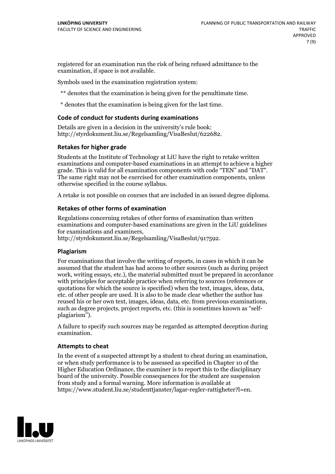registered for an examination run the risk of being refused admittance to the examination, if space is not available.

Symbols used in the examination registration system:

\*\* denotes that the examination is being given for the penultimate time.

\* denotes that the examination is being given for the last time.

#### **Code of conduct for students during examinations**

Details are given in a decision in the university's rule book: http://styrdokument.liu.se/Regelsamling/VisaBeslut/622682.

#### **Retakes for higher grade**

Students at the Institute of Technology at LiU have the right to retake written examinations and computer-based examinations in an attempt to achieve a higher grade. This is valid for all examination components with code "TEN" and "DAT". The same right may not be exercised for other examination components, unless otherwise specified in the course syllabus.

A retake is not possible on courses that are included in an issued degree diploma.

#### **Retakes of other forms of examination**

Regulations concerning retakes of other forms of examination than written examinations and computer-based examinations are given in the LiU guidelines

http://styrdokument.liu.se/Regelsamling/VisaBeslut/917592.

#### **Plagiarism**

For examinations that involve the writing of reports, in cases in which it can be assumed that the student has had access to other sources (such as during project work, writing essays, etc.), the material submitted must be prepared in accordance with principles for acceptable practice when referring to sources (references or quotations for which the source is specified) when the text, images, ideas, data, etc. of other people are used. It is also to be made clear whether the author has reused his or her own text, images, ideas, data, etc. from previous examinations, such as degree projects, project reports, etc. (this is sometimes known as "self- plagiarism").

A failure to specify such sources may be regarded as attempted deception during examination.

#### **Attempts to cheat**

In the event of <sup>a</sup> suspected attempt by <sup>a</sup> student to cheat during an examination, or when study performance is to be assessed as specified in Chapter <sup>10</sup> of the Higher Education Ordinance, the examiner is to report this to the disciplinary board of the university. Possible consequences for the student are suspension from study and a formal warning. More information is available at https://www.student.liu.se/studenttjanster/lagar-regler-rattigheter?l=en.

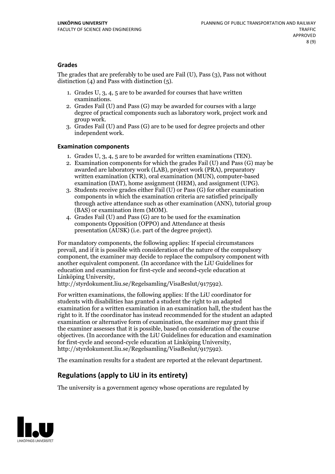#### **Grades**

The grades that are preferably to be used are Fail (U), Pass (3), Pass not without distinction  $(4)$  and Pass with distinction  $(5)$ .

- 1. Grades U, 3, 4, 5 are to be awarded for courses that have written
- examinations. 2. Grades Fail (U) and Pass (G) may be awarded for courses with <sup>a</sup> large degree of practical components such as laboratory work, project work and group work. 3. Grades Fail (U) and Pass (G) are to be used for degree projects and other
- independent work.

#### **Examination components**

- 
- 1. Grades U, 3, 4, <sup>5</sup> are to be awarded for written examinations (TEN). 2. Examination components for which the grades Fail (U) and Pass (G) may be awarded are laboratory work (LAB), project work (PRA), preparatory written examination (KTR), oral examination (MUN), computer-based
- examination (DAT), home assignment (HEM), and assignment (UPG). 3. Students receive grades either Fail (U) or Pass (G) for other examination components in which the examination criteria are satisfied principally through active attendance such as other examination (ANN), tutorial group
- (BAS) or examination item (MOM). 4. Grades Fail (U) and Pass (G) are to be used for the examination components Opposition (OPPO) and Attendance at thesis presentation (AUSK) (i.e. part of the degree project).

For mandatory components, the following applies: If special circumstances prevail, and if it is possible with consideration of the nature ofthe compulsory component, the examiner may decide to replace the compulsory component with another equivalent component. (In accordance with the LiU Guidelines for education and examination for first-cycle and second-cycle education at Linköping University, http://styrdokument.liu.se/Regelsamling/VisaBeslut/917592).

For written examinations, the following applies: If the LiU coordinator for students with disabilities has granted a student the right to an adapted examination for a written examination in an examination hall, the student has the right to it. If the coordinator has instead recommended for the student an adapted examination or alternative form of examination, the examiner may grant this if the examiner assesses that it is possible, based on consideration of the course objectives. (In accordance with the LiU Guidelines for education and examination for first-cycle and second-cycle education at Linköping University, http://styrdokument.liu.se/Regelsamling/VisaBeslut/917592).

The examination results for a student are reported at the relevant department.

### **Regulations (applyto LiU in its entirety)**

The university is a government agency whose operations are regulated by